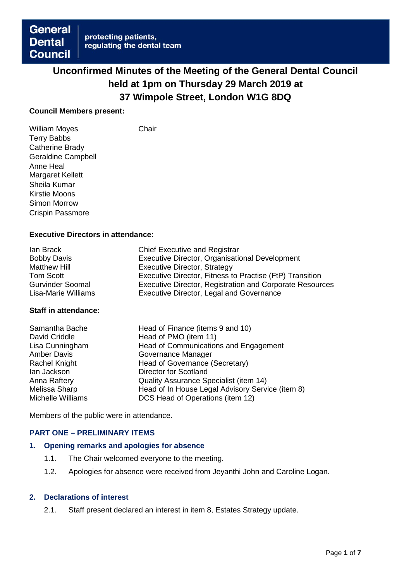# **Unconfirmed Minutes of the Meeting of the General Dental Council held at 1pm on Thursday 29 March 2019 at 37 Wimpole Street, London W1G 8DQ**

#### **Council Members present:**

William Moyes **Chair** Terry Babbs Catherine Brady Geraldine Campbell Anne Heal Margaret Kellett Sheila Kumar Kirstie Moons Simon Morrow Crispin Passmore

# **Executive Directors in attendance:**

| lan Brack               | <b>Chief Executive and Registrar</b>                            |
|-------------------------|-----------------------------------------------------------------|
| <b>Bobby Davis</b>      | Executive Director, Organisational Development                  |
| <b>Matthew Hill</b>     | Executive Director, Strategy                                    |
| Tom Scott               | Executive Director, Fitness to Practise (FtP) Transition        |
| <b>Gurvinder Soomal</b> | <b>Executive Director, Registration and Corporate Resources</b> |
| Lisa-Marie Williams     | <b>Executive Director, Legal and Governance</b>                 |

#### **Staff in attendance:**

| Head of Finance (items 9 and 10)                 |
|--------------------------------------------------|
| Head of PMO (item 11)                            |
| Head of Communications and Engagement            |
| Governance Manager                               |
| Head of Governance (Secretary)                   |
| <b>Director for Scotland</b>                     |
| Quality Assurance Specialist (item 14)           |
| Head of In House Legal Advisory Service (item 8) |
| DCS Head of Operations (item 12)                 |
|                                                  |

Members of the public were in attendance.

# **PART ONE – PRELIMINARY ITEMS**

#### **1. Opening remarks and apologies for absence**

- 1.1. The Chair welcomed everyone to the meeting.
- 1.2. Apologies for absence were received from Jeyanthi John and Caroline Logan.

# **2. Declarations of interest**

2.1. Staff present declared an interest in item 8, Estates Strategy update.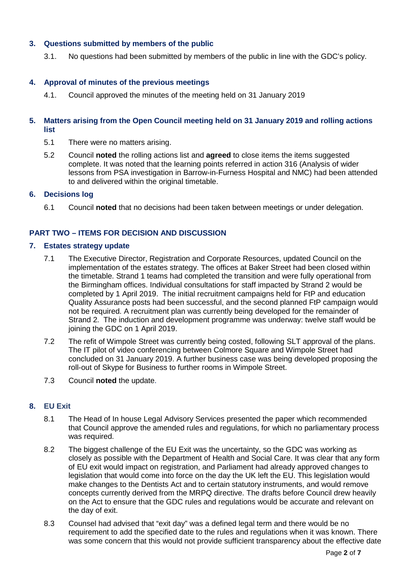# **3. Questions submitted by members of the public**

3.1. No questions had been submitted by members of the public in line with the GDC's policy.

#### **4. Approval of minutes of the previous meetings**

4.1. Council approved the minutes of the meeting held on 31 January 2019

#### **5. Matters arising from the Open Council meeting held on 31 January 2019 and rolling actions list**

- 5.1 There were no matters arising.
- 5.2 Council **noted** the rolling actions list and **agreed** to close items the items suggested complete. It was noted that the learning points referred in action 316 (Analysis of wider lessons from PSA investigation in Barrow-in-Furness Hospital and NMC) had been attended to and delivered within the original timetable.

#### **6. Decisions log**

6.1 Council **noted** that no decisions had been taken between meetings or under delegation.

# **PART TWO – ITEMS FOR DECISION AND DISCUSSION**

#### **7. Estates strategy update**

- 7.1 The Executive Director, Registration and Corporate Resources, updated Council on the implementation of the estates strategy. The offices at Baker Street had been closed within the timetable. Strand 1 teams had completed the transition and were fully operational from the Birmingham offices. Individual consultations for staff impacted by Strand 2 would be completed by 1 April 2019. The initial recruitment campaigns held for FtP and education Quality Assurance posts had been successful, and the second planned FtP campaign would not be required. A recruitment plan was currently being developed for the remainder of Strand 2. The induction and development programme was underway: twelve staff would be joining the GDC on 1 April 2019.
- 7.2 The refit of Wimpole Street was currently being costed, following SLT approval of the plans. The IT pilot of video conferencing between Colmore Square and Wimpole Street had concluded on 31 January 2019. A further business case was being developed proposing the roll-out of Skype for Business to further rooms in Wimpole Street.
- 7.3 Council **noted** the update.

# **8. EU Exit**

- 8.1 The Head of In house Legal Advisory Services presented the paper which recommended that Council approve the amended rules and regulations, for which no parliamentary process was required.
- 8.2 The biggest challenge of the EU Exit was the uncertainty, so the GDC was working as closely as possible with the Department of Health and Social Care. It was clear that any form of EU exit would impact on registration, and Parliament had already approved changes to legislation that would come into force on the day the UK left the EU. This legislation would make changes to the Dentists Act and to certain statutory instruments, and would remove concepts currently derived from the MRPQ directive. The drafts before Council drew heavily on the Act to ensure that the GDC rules and regulations would be accurate and relevant on the day of exit.
- 8.3 Counsel had advised that "exit day" was a defined legal term and there would be no requirement to add the specified date to the rules and regulations when it was known. There was some concern that this would not provide sufficient transparency about the effective date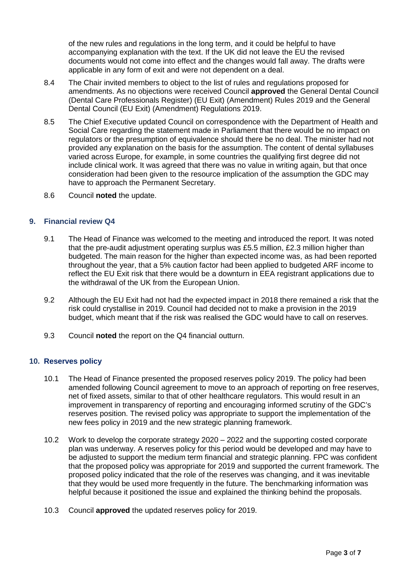of the new rules and regulations in the long term, and it could be helpful to have accompanying explanation with the text. If the UK did not leave the EU the revised documents would not come into effect and the changes would fall away. The drafts were applicable in any form of exit and were not dependent on a deal.

- 8.4 The Chair invited members to object to the list of rules and regulations proposed for amendments. As no objections were received Council **approved** the General Dental Council (Dental Care Professionals Register) (EU Exit) (Amendment) Rules 2019 and the General Dental Council (EU Exit) (Amendment) Regulations 2019.
- 8.5 The Chief Executive updated Council on correspondence with the Department of Health and Social Care regarding the statement made in Parliament that there would be no impact on regulators or the presumption of equivalence should there be no deal. The minister had not provided any explanation on the basis for the assumption. The content of dental syllabuses varied across Europe, for example, in some countries the qualifying first degree did not include clinical work. It was agreed that there was no value in writing again, but that once consideration had been given to the resource implication of the assumption the GDC may have to approach the Permanent Secretary.
- 8.6 Council **noted** the update.

#### **9. Financial review Q4**

- 9.1 The Head of Finance was welcomed to the meeting and introduced the report. It was noted that the pre-audit adjustment operating surplus was £5.5 million, £2.3 million higher than budgeted. The main reason for the higher than expected income was, as had been reported throughout the year, that a 5% caution factor had been applied to budgeted ARF income to reflect the EU Exit risk that there would be a downturn in EEA registrant applications due to the withdrawal of the UK from the European Union.
- 9.2 Although the EU Exit had not had the expected impact in 2018 there remained a risk that the risk could crystallise in 2019. Council had decided not to make a provision in the 2019 budget, which meant that if the risk was realised the GDC would have to call on reserves.
- 9.3 Council **noted** the report on the Q4 financial outturn.

# **10. Reserves policy**

- 10.1 The Head of Finance presented the proposed reserves policy 2019. The policy had been amended following Council agreement to move to an approach of reporting on free reserves, net of fixed assets, similar to that of other healthcare regulators. This would result in an improvement in transparency of reporting and encouraging informed scrutiny of the GDC's reserves position. The revised policy was appropriate to support the implementation of the new fees policy in 2019 and the new strategic planning framework.
- 10.2 Work to develop the corporate strategy 2020 2022 and the supporting costed corporate plan was underway. A reserves policy for this period would be developed and may have to be adjusted to support the medium term financial and strategic planning. FPC was confident that the proposed policy was appropriate for 2019 and supported the current framework. The proposed policy indicated that the role of the reserves was changing, and it was inevitable that they would be used more frequently in the future. The benchmarking information was helpful because it positioned the issue and explained the thinking behind the proposals.
- 10.3 Council **approved** the updated reserves policy for 2019.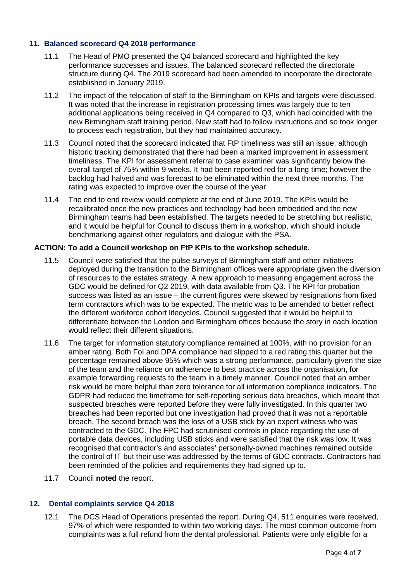# **11. Balanced scorecard Q4 2018 performance**

- 11.1 The Head of PMO presented the Q4 balanced scorecard and highlighted the key performance successes and issues. The balanced scorecard reflected the directorate structure during Q4. The 2019 scorecard had been amended to incorporate the directorate established in January 2019.
- 11.2 The impact of the relocation of staff to the Birmingham on KPIs and targets were discussed. It was noted that the increase in registration processing times was largely due to ten additional applications being received in Q4 compared to Q3, which had coincided with the new Birmingham staff training period. New staff had to follow instructions and so took longer to process each registration, but they had maintained accuracy.
- 11.3 Council noted that the scorecard indicated that FtP timeliness was still an issue, although historic tracking demonstrated that there had been a marked improvement in assessment timeliness. The KPI for assessment referral to case examiner was significantly below the overall target of 75% within 9 weeks. It had been reported red for a long time; however the backlog had halved and was forecast to be eliminated within the next three months. The rating was expected to improve over the course of the year.
- 11.4 The end to end review would complete at the end of June 2019. The KPIs would be recalibrated once the new practices and technology had been embedded and the new Birmingham teams had been established. The targets needed to be stretching but realistic, and it would be helpful for Council to discuss them in a workshop, which should include benchmarking against other regulators and dialogue with the PSA.

#### **ACTION: To add a Council workshop on FtP KPIs to the workshop schedule.**

- 11.5 Council were satisfied that the pulse surveys of Birmingham staff and other initiatives deployed during the transition to the Birmingham offices were appropriate given the diversion of resources to the estates strategy. A new approach to measuring engagement across the GDC would be defined for Q2 2019, with data available from Q3. The KPI for probation success was listed as an issue – the current figures were skewed by resignations from fixed term contractors which was to be expected. The metric was to be amended to better reflect the different workforce cohort lifecycles. Council suggested that it would be helpful to differentiate between the London and Birmingham offices because the story in each location would reflect their different situations.
- 11.6 The target for information statutory compliance remained at 100%, with no provision for an amber rating. Both FoI and DPA compliance had slipped to a red rating this quarter but the percentage remained above 95% which was a strong performance, particularly given the size of the team and the reliance on adherence to best practice across the organisation, for example forwarding requests to the team in a timely manner. Council noted that an amber risk would be more helpful than zero tolerance for all information compliance indicators. The GDPR had reduced the timeframe for self-reporting serious data breaches, which meant that suspected breaches were reported before they were fully investigated. In this quarter two breaches had been reported but one investigation had proved that it was not a reportable breach. The second breach was the loss of a USB stick by an expert witness who was contracted to the GDC. The FPC had scrutinised controls in place regarding the use of portable data devices, including USB sticks and were satisfied that the risk was low. It was recognised that contractor's and associates' personally-owned machines remained outside the control of IT but their use was addressed by the terms of GDC contracts. Contractors had been reminded of the policies and requirements they had signed up to.
- 11.7 Council **noted** the report.

# **12. Dental complaints service Q4 2018**

12.1 The DCS Head of Operations presented the report. During Q4, 511 enquiries were received, 97% of which were responded to within two working days. The most common outcome from complaints was a full refund from the dental professional. Patients were only eligible for a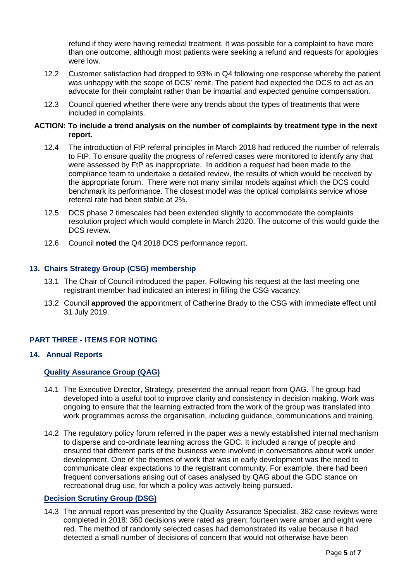refund if they were having remedial treatment. It was possible for a complaint to have more than one outcome, although most patients were seeking a refund and requests for apologies were low.

- 12.2 Customer satisfaction had dropped to 93% in Q4 following one response whereby the patient was unhappy with the scope of DCS' remit. The patient had expected the DCS to act as an advocate for their complaint rather than be impartial and expected genuine compensation.
- 12.3 Council queried whether there were any trends about the types of treatments that were included in complaints.

#### **ACTION: To include a trend analysis on the number of complaints by treatment type in the next report.**

- 12.4 The introduction of FtP referral principles in March 2018 had reduced the number of referrals to FtP. To ensure quality the progress of referred cases were monitored to identify any that were assessed by FtP as inappropriate. In addition a request had been made to the compliance team to undertake a detailed review, the results of which would be received by the appropriate forum. There were not many similar models against which the DCS could benchmark its performance. The closest model was the optical complaints service whose referral rate had been stable at 2%.
- 12.5 DCS phase 2 timescales had been extended slightly to accommodate the complaints resolution project which would complete in March 2020. The outcome of this would guide the DCS review.
- 12.6 Council **noted** the Q4 2018 DCS performance report.

## **13. Chairs Strategy Group (CSG) membership**

- 13.1 The Chair of Council introduced the paper. Following his request at the last meeting one registrant member had indicated an interest in filling the CSG vacancy.
- 13.2 Council **approved** the appointment of Catherine Brady to the CSG with immediate effect until 31 July 2019.

# **PART THREE - ITEMS FOR NOTING**

#### **14. Annual Reports**

#### **Quality Assurance Group (QAG)**

- 14.1 The Executive Director, Strategy, presented the annual report from QAG. The group had developed into a useful tool to improve clarity and consistency in decision making. Work was ongoing to ensure that the learning extracted from the work of the group was translated into work programmes across the organisation, including guidance, communications and training.
- 14.2 The regulatory policy forum referred in the paper was a newly established internal mechanism to disperse and co-ordinate learning across the GDC. It included a range of people and ensured that different parts of the business were involved in conversations about work under development. One of the themes of work that was in early development was the need to communicate clear expectations to the registrant community. For example, there had been frequent conversations arising out of cases analysed by QAG about the GDC stance on recreational drug use, for which a policy was actively being pursued.

# **Decision Scrutiny Group (DSG)**

14.3 The annual report was presented by the Quality Assurance Specialist. 382 case reviews were completed in 2018: 360 decisions were rated as green; fourteen were amber and eight were red. The method of randomly selected cases had demonstrated its value because it had detected a small number of decisions of concern that would not otherwise have been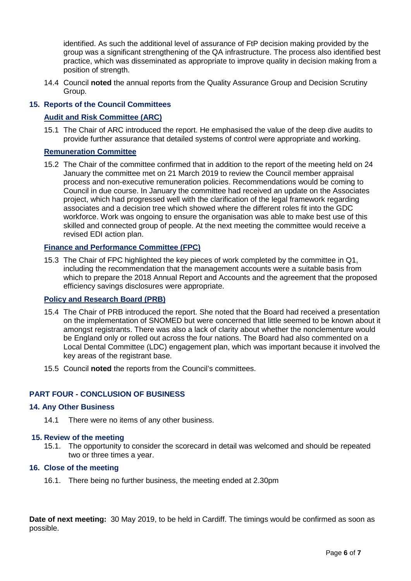identified. As such the additional level of assurance of FtP decision making provided by the group was a significant strengthening of the QA infrastructure. The process also identified best practice, which was disseminated as appropriate to improve quality in decision making from a position of strength.

14.4 Council **noted** the annual reports from the Quality Assurance Group and Decision Scrutiny Group.

# **15. Reports of the Council Committees**

# **Audit and Risk Committee (ARC)**

15.1 The Chair of ARC introduced the report. He emphasised the value of the deep dive audits to provide further assurance that detailed systems of control were appropriate and working.

# **Remuneration Committee**

15.2 The Chair of the committee confirmed that in addition to the report of the meeting held on 24 January the committee met on 21 March 2019 to review the Council member appraisal process and non-executive remuneration policies. Recommendations would be coming to Council in due course. In January the committee had received an update on the Associates project, which had progressed well with the clarification of the legal framework regarding associates and a decision tree which showed where the different roles fit into the GDC workforce. Work was ongoing to ensure the organisation was able to make best use of this skilled and connected group of people. At the next meeting the committee would receive a revised EDI action plan.

#### **Finance and Performance Committee (FPC)**

15.3 The Chair of FPC highlighted the key pieces of work completed by the committee in Q1, including the recommendation that the management accounts were a suitable basis from which to prepare the 2018 Annual Report and Accounts and the agreement that the proposed efficiency savings disclosures were appropriate.

# **Policy and Research Board (PRB)**

- 15.4 The Chair of PRB introduced the report. She noted that the Board had received a presentation on the implementation of SNOMED but were concerned that little seemed to be known about it amongst registrants. There was also a lack of clarity about whether the nonclementure would be England only or rolled out across the four nations. The Board had also commented on a Local Dental Committee (LDC) engagement plan, which was important because it involved the key areas of the registrant base.
- 15.5 Council **noted** the reports from the Council's committees.

# **PART FOUR - CONCLUSION OF BUSINESS**

#### **14. Any Other Business**

14.1 There were no items of any other business.

#### **15. Review of the meeting**

15.1. The opportunity to consider the scorecard in detail was welcomed and should be repeated two or three times a year.

# **16. Close of the meeting**

16.1. There being no further business, the meeting ended at 2.30pm

**Date of next meeting:** 30 May 2019, to be held in Cardiff. The timings would be confirmed as soon as possible.